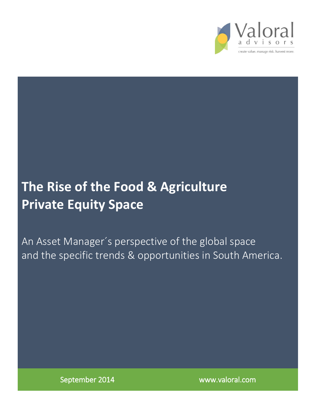

# **The Rise of the Food & Agriculture Private Equity Space**

An Asset Manager´s perspective of the global space and the specific trends & opportunities in South America.

September 2014 www.valoral.com

 $\overline{a}$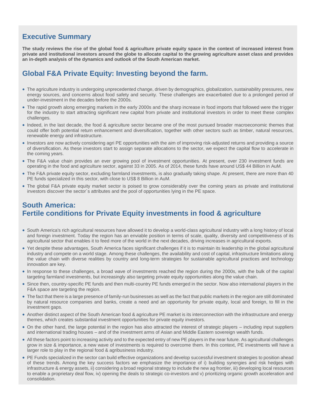# **Executive Summary**

**The study reviews the rise of the global food & agriculture private equity space in the context of increased interest from private and institutional investors around the globe to allocate capital to the growing agriculture asset class and provides an in-depth analysis of the dynamics and outlook of the South American market.** 

# **Global F&A Private Equity: Investing beyond the farm.**

- The agriculture industry is undergoing unprecedented change, driven by demographics, globalization, sustainability pressures, new energy sources, and concerns about food safety and security. These challenges are exacerbated due to a prolonged period of under-investment in the decades before the 2000s.
- The rapid growth along emerging markets in the early 2000s and the sharp increase in food imports that followed were the trigger for the industry to start attracting significant new capital from private and institutional investors in order to meet these complex challenges.
- Indeed, in the last decade, the food & agriculture sector became one of the most pursued broader macroeconomic themes that could offer both potential return enhancement and diversification, together with other sectors such as timber, natural resources, renewable energy and infrastructure.
- Investors are now actively considering agri PE opportunities with the aim of improving risk-adjusted returns and providing a source of diversification. As these investors start to assign separate allocations to the sector, we expect the capital flow to accelerate in the coming years.
- The F&A value chain provides an ever growing pool of investment opportunities. At present, over 230 investment funds are operating in the food and agriculture sector, against 33 in 2005. As of 2014, these funds have around US\$ 44 Billion in AuM.
- The F&A private equity sector, excluding farmland investments, is also gradually taking shape. At present, there are more than 40 PE funds specialized in this sector, with close to US\$ 8 Billion in AuM.
- The global F&A private equity market sector is poised to grow considerably over the coming years as private and institutional investors discover the sector´s attributes and the pool of opportunities lying in the PE space.

# **South America: Fertile conditions for Private Equity investments in food & agriculture**

- South America's rich agricultural resources have allowed it to develop a world-class agricultural industry with a long history of local and foreign investment. Today the region has an enviable position in terms of scale, quality, diversity and competitiveness of its agricultural sector that enables it to feed more of the world in the next decades, driving increases in agricultural exports.
- Yet despite these advantages, South America faces significant challenges if it is to maintain its leadership in the global agricultural industry and compete on a world stage. Among these challenges, the availability and cost of capital, infrastructure limitations along the value chain with diverse realities by country and long-term strategies for sustainable agricultural practices and technology innovation are key.
- In response to these challenges, a broad wave of investments reached the region during the 2000s, with the bulk of the capital targeting farmland investments, but increasingly also targeting private equity opportunities along the value chain.
- Since then, country-specific PE funds and then multi-country PE funds emerged in the sector. Now also international players in the F&A space are targeting the region.
- The fact that there is a large presence of family-run businesses as well as the fact that public markets in the region are still dominated by natural resource companies and banks, create a need and an opportunity for private equity, local and foreign, to fill in the investment gaps.
- Another distinct aspect of the South American food & agriculture PE market is its interconnection with the infrastructure and energy themes, which creates substantial investment opportunities for private equity investors.
- On the other hand, the large potential in the region has also attracted the interest of strategic players including input suppliers and international trading houses – and of the investment arms of Asian and Middle Eastern sovereign wealth funds.
- All these factors point to increasing activity and to the expected entry of new PE players in the near future. As agricultural challenges grow in size & importance, a new wave of investments is required to overcome them. In this context, PE investments will have a larger role to play in the regional food & agribusiness industry.
- PE Funds specialized in the sector can build effective organizations and develop successful investment strategies to position ahead of these trends. Among the key success factors we emphasize the importance of i) building synergies and risk hedges with infrastructure & energy assets, ii) considering a broad regional strategy to include the new ag frontier, iii) developing local resources to enable a proprietary deal flow, iv) opening the deals to strategic co-investors and v) prioritizing organic growth acceleration and consolidation.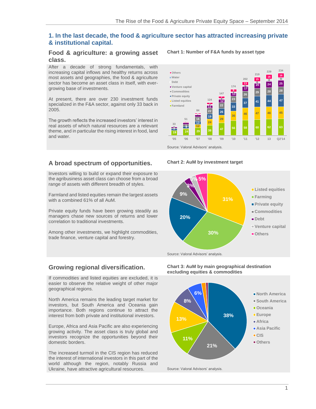# **1. In the last decade, the food & agriculture sector has attracted increasing private & institutional capital.**

#### **Food & agriculture: a growing asset class.**

After a decade of strong fundamentals, with increasing capital inflows and healthy returns across most assets and geographies, the food & agriculture sector has become an asset class in itself, with evergrowing base of investments.

At present, there are over 230 investment funds specialized in the F&A sector, against only 33 back in 2005.

The growth reflects the increased investors' interest in real assets of which natural resources are a relevant theme, and in particular the rising interest in food, land and water.

# **A broad spectrum of opportunities. Chart 2: AuM by investment target**

Investors willing to build or expand their exposure to the agribusiness asset class can choose from a broad range of assets with different breadth of styles.

Farmland and listed equities remain the largest assets with a combined 61% of all AuM.

Private equity funds have been growing steadily as managers chase new sources of returns and lower correlation to traditional investments.

Among other investments, we highlight commodities, trade finance, venture capital and forestry.

#### **Chart 1: Number of F&A funds by asset type**





If commodities and listed equities are excluded, it is easier to observe the relative weight of other major geographical regions.

North America remains the leading target market for investors, but South America and Oceania gain importance. Both regions continue to attract the interest from both private and institutional investors.

Europe, Africa and Asia Pacific are also experiencing growing activity. The asset class is truly global and investors recognize the opportunities beyond their domestic borders.

The increased turmoil in the CIS region has reduced the interest of international investors in this part of the world although the region, notably Russia and Ukraine, have attractive agricultural resources. Source: Valoral Advisors' analysis.

**Growing regional diversification. Chart 3: AuM by main geographical destination excluding equities & commodities**

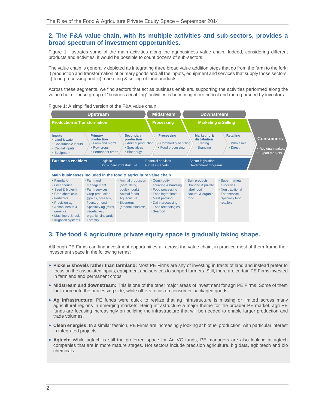#### **2. The F&A value chain, with its multiple activities and sub-sectors, provides a broad spectrum of investment opportunities.**

Figure 1 illustrates some of the main activities along the agribusiness value chain. Indeed, considering different products and activities, it would be possible to count dozens of sub-sectors.

The value chain is generally depicted as integrating three broad value addition steps that go from the farm to the fork: i) production and transformation of primary goods and all the inputs, equipment and services that supply those sectors, ii) food processing and iii) marketing & selling of food products.

Across these segments, we find sectors that act as business enablers, supporting the activities performed along the value chain. These group of "business enabling" activities is becoming more critical and more pursued by investors.





# **3. The food & agriculture private equity space is gradually taking shape.**

Although PE Firms can find investment opportunities all across the value chain, in practice most of them frame their investment space in the following terms:

- **Picks & shovels rather than farmland:** Most PE Firms are shy of investing in tracts of land and instead prefer to focus on the associated inputs, equipment and services to support farmers. Still, there are certain PE Firms invested in farmland and permanent crops.
- **Midstream and downstream:** This is one of the other major areas of investment for agri PE Firms. Some of them look more into the processing side, while others focus on consumer-packaged goods.
- **Ag infrastructure:** PE funds were quick to realize that ag infrastructure is missing or limited across many agricultural regions in emerging markets. Being infrastructure a major theme for the broader PE market, agri PE funds are focusing increasingly on building the infrastructure that will be needed to enable larger production and trade volumes.
- **Clean energies:** In a similar fashion, PE Firms are increasingly looking at biofuel production, with particular interest in integrated projects.
- **Agtech:** While agtech is still the preferred space for Ag VC funds, PE managers are also looking at agtech companies that are in more mature stages. Hot sectors include precision agriculture, big data, agbiotech and bio chemicals.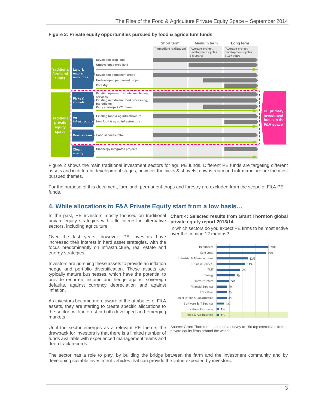

**Figure 2: Private equity opportunities pursued by food & agriculture funds**

Figure 2 shows the main traditional investment sectors for agri PE funds. Different PE funds are targeting different assets and in different development stages, however the picks & shovels, downstream and infrastructure are the most pursued themes.

For the purpose of this document, farmland, permanent crops and forestry are excluded from the scope of F&A PE funds.

# **4. While allocations to F&A Private Equity start from a low basis…**

In the past, PE investors mostly focused on traditional private equity strategies with little interest in alternative sectors, including agriculture.

Over the last years, however, PE investors have increased their interest in hard asset strategies, with the focus predominantly on infrastructure, real estate and energy strategies.

Investors are pursuing these assets to provide an inflation hedge and portfolio diversification. These assets are typically mature businesses, which have the potential to provide recurrent income and hedge against sovereign defaults, against currency depreciation and against inflation.

As investors become more aware of the attributes of F&A assets, they are starting to create specific allocations to the sector, with interest in both developed and emerging markets.

Until the sector emerges as a relevant PE theme, the drawback for investors is that there is a limited number of funds available with experienced management teams and deep track records.

**Chart 4: Selected results from Grant Thornton global private equity report 2013/14**

In which sectors do you expect PE firms to be most active over the coming 12 months?



Source: Grant Thornton - based on a survey to 156 top executives from private equity firms around the world.

The sector has a role to play, by building the bridge between the farm and the investment community and by developing suitable investment vehicles that can provide the value expected by investors.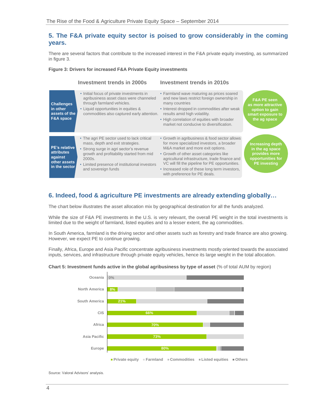# **5. The F&A private equity sector is poised to grow considerably in the coming years.**

There are several factors that contribute to the increased interest in the F&A private equity investing, as summarized in figure 3.

#### **Figure 3: Drivers for increased F&A Private Equity investments**



# **6. Indeed, food & agriculture PE investments are already extending globally…**

The chart below illustrates the asset allocation mix by geographical destination for all the funds analyzed.

While the size of F&A PE investments in the U.S. is very relevant, the overall PE weight in the total investments is limited due to the weight of farmland, listed equities and to a lesser extent, the ag commodities.

In South America, farmland is the driving sector and other assets such as forestry and trade finance are also growing. However, we expect PE to continue growing.

Finally, Africa, Europe and Asia Pacific concentrate agribusiness investments mostly oriented towards the associated inputs, services, and infrastructure through private equity vehicles, hence its large weight in the total allocation.

#### **Chart 5: Investment funds active in the global agribusiness by type of asset** (% of total AUM by region)

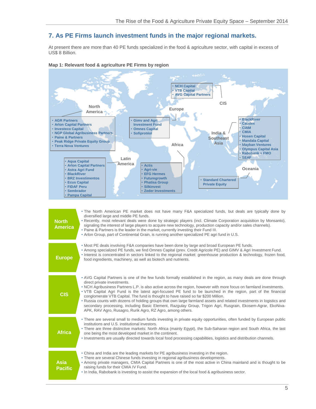# **7. As PE Firms launch investment funds in the major regional markets.**

At present there are more than 40 PE funds specialized in the food & agriculture sector, with capital in excess of US\$ 8 Billion.



#### **Map 1: Relevant food & agriculture PE Firms by region**

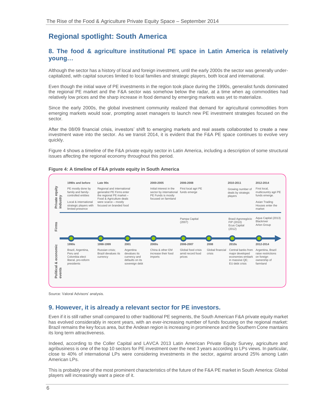# **Regional spotlight: South America**

# **8. The food & agriculture institutional PE space in Latin America is relatively young…**

Although the sector has a history of local and foreign investment, until the early 2000s the sector was generally undercapitalized, with capital sources limited to local families and strategic players, both local and international.

Even though the initial wave of PE investments in the region took place during the 1990s, generalist funds dominated the regional PE market and the F&A sector was somehow below the radar, at a time when ag commodities had relatively low prices and the sharp increase in food demand by emerging markets was yet to materialize.

Since the early 2000s, the global investment community realized that demand for agricultural commodities from emerging markets would soar, prompting asset managers to launch new PE investment strategies focused on the sector.

After the 08/09 financial crisis, investors' shift to emerging markets and real assets collaborated to create a new investment wave into the sector. As we transit 2014, it is evident that the F&A PE space continues to evolve very quickly.

Figure 4 shows a timeline of the F&A private equity sector in Latin America, including a description of some structural issues affecting the regional economy throughout this period.



#### **Figure 4: A timeline of F&A private equity in South America**

Source: Valoral Advisors' analysis.

#### **9. However, it is already a relevant sector for PE investors.**

Even if it is still rather small compared to other traditional PE segments, the South American F&A private equity market has evolved considerably in recent years, with an ever-increasing number of funds focusing on the regional market: Brazil remains the key focus area, but the Andean region is increasing in prominence and the Southern Cone mantains its long term attractiveness.

Indeed, according to the Coller Capital and LAVCA 2013 Latin American Private Equity Survey, agriculture and agribusiness is one of the top 10 sectors for PE investment over the next 3 years according to LPs views. In particular, close to 40% of international LPs were considering investments in the sector, against around 25% among Latin American LPs.

This is probably one of the most prominent characteristics of the future of the F&A PE market in South America: Global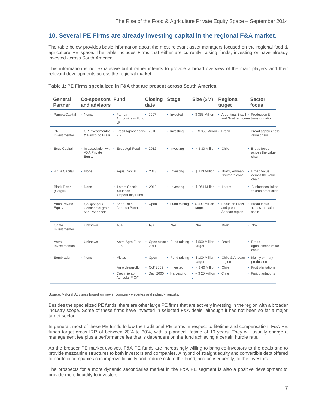• Fund raising • \$400 Million • Focus on Brazil

target

target

• Astra Agro Fund • Open since • Fund raising • \$500 Million • Brazil • Broad

• N/A • N/A • N/A • N/A • Brazil • N/A

and greater Andean region • Broad focus across the value chain

agribusiness value

chain

production

### **10. Several PE Firms are already investing capital in the regional F&A market.**

The table below provides basic information about the most relevant asset managers focused on the regional food & agriculture PE space. The table includes Firms that either are currently raising funds, investing or have already invested across South America.

This information is not exhaustive but it rather intends to provide a broad overview of the main players and their relevant developments across the regional market:

| General<br><b>Partner</b>    | <b>Co-sponsors Fund</b><br>and advisors                                |                                                         | <b>Closing</b><br>date | <b>Stage</b> | Size (SM)                               | <b>Regional</b><br>target          | <b>Sector</b><br>focus                     |
|------------------------------|------------------------------------------------------------------------|---------------------------------------------------------|------------------------|--------------|-----------------------------------------|------------------------------------|--------------------------------------------|
| • Pampa Capital              | • None.                                                                | • Pampa<br>Agribusiness Fund<br>LP                      | $\cdot$ 2007           | • Invested   | • \$365 Million                         | • Argentina, Brazil • Production & | and Southern cone transformation           |
| $\cdot$ BRZ<br>Investimentos | • GP Investimentos •<br>& Banco do Brasil                              | Brasil Agronegócio • 2010<br><b>FIP</b>                 |                        | • Investing  | $\cdot$ ~ \$ 350 Million $\cdot$ Brazil |                                    | • Broad agribusiness<br>value chain        |
| • Ecus Capital               | • In association with • Ecus Agri-Food<br><b>AXA Private</b><br>Equity |                                                         | $\cdot$ 2012           | • Investing  | $\cdot$ ~ \$30 Million $\cdot$ Chile    |                                    | • Broad focus<br>across the value<br>chain |
| • Aqua Capital               | • None.                                                                | • Aqua Capital                                          | $\cdot$ 2013           | • Investing  | • \$173 Million                         | • Brazil, Andean,<br>Southern cone | Broad focus<br>across the value<br>chain   |
| • Black River<br>(Cargill)   | • None                                                                 | • Latam Special<br>Situation<br><b>Opportunity Fund</b> | $\cdot$ 2013           | • Investing  | $\cdot$ \$ 264 Million                  | • Latam                            | • Businesses linked<br>to crop production  |

• Open

#### **Table 1: PE Firms specialized in F&A that are present across South America.**

region • Agro desarrollo • Oct' 2009 • Invested • ~ \$40 Million • Chile • • Fruit plantations • Crecimiento Agricola (FICA) • Harvesting •  $\sim$  \$ 20 Million • Chile target  $\cdot$  ~ \$ 40 Million  $\cdot$  Chile • • Fruit plantations • Dec' 2005 • Harvesting

• Sembrador • None • Victus • Open • Fund raising • \$ 100 Million • Chile & Andean • Mainly primary

2011

• Open

Source: Valoral Advisors based on news, company websites and industry reports.

• Arlon Latin America Partners

L.P.

• Arlon Private Equity

• Co-sponsors Continental grain and Rabobank

• Unknown

• Unknown

• None

• Astra Investimentos

• Gama Investimentos

Besides the specialized PE funds, there are other large PE firms that are actively investing in the region with a broader industry scope. Some of these firms have invested in selected F&A deals, although it has not been so far a major target sector.

In general, most of these PE funds follow the traditional PE terms in respect to lifetime and compensation. F&A PE funds target gross IRR of between 20% to 30%, with a planned lifetime of 10 years. They will usually charge a management fee plus a performance fee that is dependent on the fund achieving a certain hurdle rate.

As the broader PE market evolves, F&A PE funds are increasingly willing to bring co-investors to the deals and to provide mezzanine structures to both investors and companies. A hybrid of straight equity and convertible debt offered to portfolio companies can improve liquidity and reduce risk to the Fund, and consequently, to the investors.

The prospects for a more dynamic secondaries market in the F&A PE segment is also a positive development to provide more liquidity to investors.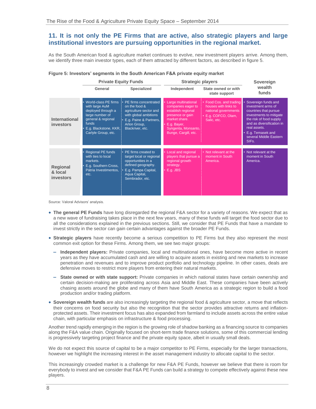# **11. It is not only the PE Firms that are active, also strategic players and large institutional investors are pursuing opportunities in the regional market.**

As the South American food & agriculture market continues to evolve, new investment players arrive. Among them, we identify three main investor types, each of them attracted by different factors, as described in figure 5.

|                                                                                                                                                                                                                                                                                                                                                                                                                                                                                                                                                                        | <b>Private Equity Funds</b>                                                                                                                                    |                                                                                                                                                         | <b>Strategic players</b>                                                                                                                                           | Sovereign                                                                                                        |                                                                                                                                                                                                                                                                                                                                    |
|------------------------------------------------------------------------------------------------------------------------------------------------------------------------------------------------------------------------------------------------------------------------------------------------------------------------------------------------------------------------------------------------------------------------------------------------------------------------------------------------------------------------------------------------------------------------|----------------------------------------------------------------------------------------------------------------------------------------------------------------|---------------------------------------------------------------------------------------------------------------------------------------------------------|--------------------------------------------------------------------------------------------------------------------------------------------------------------------|------------------------------------------------------------------------------------------------------------------|------------------------------------------------------------------------------------------------------------------------------------------------------------------------------------------------------------------------------------------------------------------------------------------------------------------------------------|
|                                                                                                                                                                                                                                                                                                                                                                                                                                                                                                                                                                        | General                                                                                                                                                        | <b>Specialized</b>                                                                                                                                      | Independent                                                                                                                                                        | State owned or with<br>state support                                                                             | wealth<br>funds                                                                                                                                                                                                                                                                                                                    |
| <b>International</b><br>investors                                                                                                                                                                                                                                                                                                                                                                                                                                                                                                                                      | World-class PE firms<br>with large AuM<br>deployed through a<br>large number of<br>general & regional<br>funds<br>E.g. Blackstone, KKR,<br>Carlyle Group, etc. | PE firms concentrated<br>on the food &<br>agriculture sector and<br>with global ambitions<br>E.g. Paine & Partners,<br>Arlon Group,<br>Blackriver, etc. | Large multinational<br>companies eager to<br>establish regional<br>presence or gain<br>market share.<br>E.g. Bayer,<br>Syngenta, Monsanto,<br>Bunge, Cargill, etc. | • Food Cos. and trading<br>houses with links to<br>national governments<br>· E.g. COFCO, Olam,<br>Salic, etc.    | Sovereign funds and<br>investment arms of<br>countries that pursue<br>investments to mitigate<br>the risk of food supply<br>and as diversification in<br>real assets.<br>• E.g. Temasek and<br>several Middle Eastern<br>SIFs.                                                                                                     |
| <b>Regional</b><br>& local<br>investors                                                                                                                                                                                                                                                                                                                                                                                                                                                                                                                                | <b>Regional PE funds</b><br>with ties to local<br>markets.<br>E.g. Southern Cross,<br>Pátria Investimentos,<br>etc.                                            | PE firms created to<br>target local or regional<br>opportunities in a<br>defined geography.<br>E.g. Pampa Capital,<br>Aqua Capital,<br>Sembrador, etc.  | Local and regional<br>players that pursue a<br>regional growth<br>strategy.<br>$\cdot$ E.g. JBS                                                                    | • Not relevant at the<br>moment in South<br>America.                                                             | Not relevant at the<br>moment in South<br>America.                                                                                                                                                                                                                                                                                 |
| Source: Valoral Advisors' analysis.                                                                                                                                                                                                                                                                                                                                                                                                                                                                                                                                    |                                                                                                                                                                |                                                                                                                                                         |                                                                                                                                                                    |                                                                                                                  |                                                                                                                                                                                                                                                                                                                                    |
| • The general PE Funds have long disregarded the regional F&A sector for a variety of reasons. We expect that as<br>a new wave of fundraising takes place in the next few years, many of these funds will target the food sector due to<br>all the considerations explained in the previous sections. Still, we consider that PE Funds that have a mandate to<br>invest strictly in the sector can gain certain advantages against the broader PE Funds.<br>• Strategic players have recently become a serious competition to PE Firms but they also represent the mos |                                                                                                                                                                |                                                                                                                                                         |                                                                                                                                                                    |                                                                                                                  |                                                                                                                                                                                                                                                                                                                                    |
| common exit option for these Firms. Among them, we see two major groups:                                                                                                                                                                                                                                                                                                                                                                                                                                                                                               |                                                                                                                                                                |                                                                                                                                                         |                                                                                                                                                                    |                                                                                                                  |                                                                                                                                                                                                                                                                                                                                    |
| Independent players: Private companies, local and multinational ones, have become more active in recen<br>years as they have accumulated cash and are willing to acquire assets in existing and new markets to increase<br>penetration and revenues and to improve product portfolio and technology pipeline. In other cases, deals are<br>defensive moves to restrict more players from entering their natural markets.                                                                                                                                               |                                                                                                                                                                |                                                                                                                                                         |                                                                                                                                                                    |                                                                                                                  |                                                                                                                                                                                                                                                                                                                                    |
|                                                                                                                                                                                                                                                                                                                                                                                                                                                                                                                                                                        | production and/or trading platform.                                                                                                                            |                                                                                                                                                         |                                                                                                                                                                    |                                                                                                                  | State owned or with state support: Private companies in which national states have certain ownership and<br>certain decision-making are proliferating across Asia and Middle East. These companies have been actively<br>chasing assets around the globe and many of them have South America as a strategic region to build a food |
| • Sovereign wealth funds are also increasingly targeting the regional food & agriculture sector, a move that reflects<br>their concerns on food security but also the recognition that the sector provides attractive returns and inflation<br>protected assets. Their investment focus has also expanded from farmland to include assets across the entire value<br>chain, with particular emphasis on infrastructure & food processing.                                                                                                                              |                                                                                                                                                                |                                                                                                                                                         |                                                                                                                                                                    |                                                                                                                  |                                                                                                                                                                                                                                                                                                                                    |
|                                                                                                                                                                                                                                                                                                                                                                                                                                                                                                                                                                        |                                                                                                                                                                |                                                                                                                                                         |                                                                                                                                                                    | is progressively targeting project finance and the private equity space, albeit in usually small deals.          | Another trend rapidly emerging in the region is the growing role of shadow banking as a financing source to companies<br>along the F&A value chain. Originally focused on short-term trade finance solutions, some of this commercial lending                                                                                      |
|                                                                                                                                                                                                                                                                                                                                                                                                                                                                                                                                                                        |                                                                                                                                                                |                                                                                                                                                         |                                                                                                                                                                    | however we highlight the increasing interest in the asset management industry to allocate capital to the sector. | We do not expect this source of capital to be a major competitor to PE Firms, especially for the larger transactions                                                                                                                                                                                                               |
| players.                                                                                                                                                                                                                                                                                                                                                                                                                                                                                                                                                               |                                                                                                                                                                |                                                                                                                                                         |                                                                                                                                                                    |                                                                                                                  | This increasingly crowded market is a challenge for new F&A PE Funds, however we believe that there is room for<br>everybody to invest and we consider that F&A PE Funds can build a strategy to compete effectively against these new                                                                                             |

| Figure 5: Investors' segments in the South American F&A private equity market |  |  |  |
|-------------------------------------------------------------------------------|--|--|--|
|                                                                               |  |  |  |
|                                                                               |  |  |  |
|                                                                               |  |  |  |

- **The general PE Funds** have long disregarded the regional F&A sector for a variety of reasons. We expect that as a new wave of fundraising takes place in the next few years, many of these funds will target the food sector due to all the considerations explained in the previous sections. Still, we consider that PE Funds that have a mandate to invest strictly in the sector can gain certain advantages against the broader PE Funds.
- **Strategic players** have recently become a serious competition to PE Firms but they also represent the most common exit option for these Firms. Among them, we see two major groups:
	- **– Independent players:** Private companies, local and multinational ones, have become more active in recent years as they have accumulated cash and are willing to acquire assets in existing and new markets to increase penetration and revenues and to improve product portfolio and technology pipeline. In other cases, deals are defensive moves to restrict more players from entering their natural markets.
	- **– State owned or with state support:** Private companies in which national states have certain ownership and certain decision-making are proliferating across Asia and Middle East. These companies have been actively chasing assets around the globe and many of them have South America as a strategic region to build a food production and/or trading platform.
- **Sovereign wealth funds** are also increasingly targeting the regional food & agriculture sector, a move that reflects their concerns on food security but also the recognition that the sector provides attractive returns and inflationprotected assets. Their investment focus has also expanded from farmland to include assets across the entire value chain, with particular emphasis on infrastructure & food processing.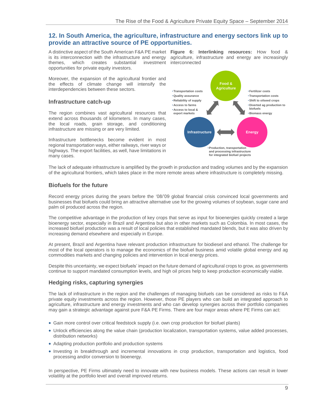#### **12. In South America, the agriculture, infrastructure and energy sectors link up to provide an attractive source of PE opportunities.**

is its interconnection with the infrastructure and energy themes, which creates substantial investment interconnected opportunities for private equity investors.

A distinctive aspect of the South American F&A PE market **Figure 6: Interlinking resources:** How food & agriculture, infrastructure and energy are increasingly

Moreover, the expansion of the agricultural frontier and the effects of climate change will intensify the interdependencies between these sectors.

#### **Infrastructure catch-up**

The region combines vast agricultural resources that extend across thousands of kilometers. In many cases, the local roads, grain storage, and conditioning infrastructure are missing or are very limited.

Infrastructure bottlenecks become evident in most regional transportation ways, either railways, river ways or highways. The export facilities, as well, have limitations in many cases.



The lack of adequate infrastructure is amplified by the growth in production and trading volumes and by the expansion of the agricultural frontiers, which takes place in the more remote areas where infrastructure is completely missing.

#### **Biofuels for the future**

Record energy prices during the years before the '08/'09 global financial crisis convinced local governments and businesses that biofuels could bring an attractive alternative use for the growing volumes of soybean, sugar cane and palm oil produced across the region.

The competitive advantage in the production of key crops that serve as input for bioenergies quickly created a large bioenergy sector, especially in Brazil and Argentina but also in other markets such as Colombia. In most cases, the increased biofuel production was a result of local policies that established mandated blends, but it was also driven by increasing demand elsewhere and especially in Europe.

At present, Brazil and Argentina have relevant production infrastructure for biodiesel and ethanol. The challenge for most of the local operators is to manage the economics of the biofuel business amid volatile global energy and ag commodities markets and changing policies and intervention in local energy prices.

Despite this uncertainty, we expect biofuels' impact on the future demand of agricultural crops to grow, as governments continue to support mandated consumption levels, and high oil prices help to keep production economically viable.

#### **Hedging risks, capturing synergies**

The lack of infrastructure in the region and the challenges of managing biofuels can be considered as risks to F&A private equity investments across the region. However, those PE players who can build an integrated approach to agriculture, infrastructure and energy investments and who can develop synergies across their portfolio companies may gain a strategic advantage against pure F&A PE Firms. There are four major areas where PE Firms can act:

- Gain more control over critical feedstock supply (i.e. own crop production for biofuel plants)
- Unlock efficiencies along the value chain (production localization, transportation systems, value added processes, distribution networks)
- Adapting production portfolio and production systems
- Investing in breakthrough and incremental innovations in crop production, transportation and logistics, food processing and/or conversion to bioenergy.

In perspective, PE Firms ultimately need to innovate with new business models. These actions can result in lower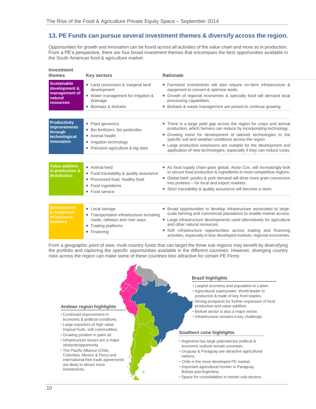# **13. PE Funds can pursue several investment themes & diversify across the region.**

Opportunities for growth and innovation can be found across all activities of the value chain and more so in production. From a PE's perspective, there are four broad investment themes that encompass the best opportunities available in the South American food & agriculture market:

| Investment<br>themes                                                                 | <b>Key sectors</b>                                                                                                                                 | <b>Rationale</b>                                                                                                                                                                                                                                                                                                                                                                                                      |
|--------------------------------------------------------------------------------------|----------------------------------------------------------------------------------------------------------------------------------------------------|-----------------------------------------------------------------------------------------------------------------------------------------------------------------------------------------------------------------------------------------------------------------------------------------------------------------------------------------------------------------------------------------------------------------------|
| <b>Sustainable</b><br>development &<br>management of<br>natural<br><b>resources</b>  | • Land conversion & marginal land<br>development<br>• Water management for irrigation &<br>drainage<br>Biomass & biofuels<br>$\bullet$             | • Farmland investments will also require on-farm infrastructure &<br>equipment to convert & optimize lands.<br>• Growth of regional economies & specialty food will demand local<br>processing capabilities.<br>• Biofuels & waste management are poised to continue growing.                                                                                                                                         |
| <b>Productivity</b><br><b>improvements</b><br>through<br>technological<br>innovation | • Plant genomics<br>Bio fertilizers, bio pesticides<br>$\bullet$<br>Animal health<br>• Irrigation technology<br>• Precision agriculture & big data | • There is a large yield gap across the region for crops and animal<br>production, which farmers can reduce by incorporating technology.<br>• Growing trend for development of tailored technologies to the<br>specific soil and weather conditions across the region.<br>• Large production extensions are suitable for the development and<br>application of new technologies, especially if they can reduce costs. |
| <b>Value addition</b><br>in production &<br>distribution                             | • Animal feed<br>• Food traceability & quality assurance<br>• Processed food, healthy food<br>• Food ingredients<br>• Food service                 | • As food supply chain goes global, Asian Cos. will increasingly look<br>to secure food production & ingredients in most competitive regions.<br>• Global beef, poultry & pork demand will drive more grain conversion<br>into proteins – for local and export markets.<br>• Strict traceability & quality assurance will become a norm.                                                                              |
| <b>Development</b><br>& expansion<br>of business<br>enablers                         | • Local storage<br>• Transportation infrastructure including<br>roads, railways and river ways<br>Trading platforms<br>Financing<br>$\bullet$      | • Broad opportunities to develop infrastructure associated to large-<br>scale farming and commercial plantations to enable market access.<br>• Large infrastructure developments used alternatively for agriculture<br>and other natural resources.<br>Soft infrastructure opportunities across trading and financing<br>$\bullet$<br>activities, especially in less developed markets, regional economies.           |

From a geographic point of view, multi-country funds that can target the three sub-regions may benefit by diversifying the portfolio and capturing the specific opportunities available in the different countries. However, diverging country risks across the region can make some of these countries less attractive for certain PE Firms:

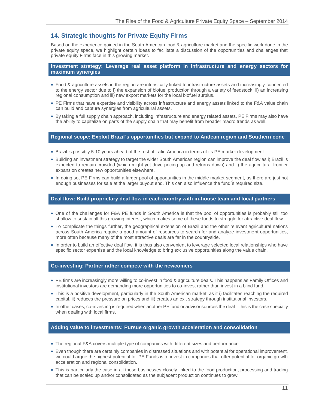# **14. Strategic thoughts for Private Equity Firms**

Based on the experience gained in the South American food & agriculture market and the specific work done in the private equity space, we highlight certain ideas to facilitate a discussion of the opportunities and challenges that private equity Firms face in this growing market.

**Investment strategy: Leverage real asset platform in infrastructure and energy sectors for maximum synergies**

- Food & agriculture assets in the region are intrinsically linked to infrastructure assets and increasingly connected to the energy sector due to i) the expansion of biofuel production through a variety of feedstock, ii) an increasing regional consumption and iii) new export markets for the local biofuel surplus.
- PE Firms that have expertise and visibility across infrastructure and energy assets linked to the F&A value chain can build and capture synergies from agricultural assets.
- By taking a full supply chain approach, including infrastructure and energy related assets, PE Firms may also have the ability to capitalize on parts of the supply chain that may benefit from broader macro trends as well.

#### **Regional scope: Exploit Brazil´s opportunities but expand to Andean region and Southern cone**

- Brazil is possibly 5-10 years ahead of the rest of Latin America in terms of its PE market development.
- Building an investment strategy to target the wider South American region can improve the deal flow as i) Brazil is expected to remain crowded (which might yet drive pricing up and returns down) and ii) the agricultural frontier expansion creates new opportunities elsewhere.
- In doing so, PE Firms can build a larger pool of opportunities in the middle market segment, as there are just not enough businesses for sale at the larger buyout end. This can also influence the fund´s required size.

#### **Deal flow: Build proprietary deal flow in each country with in-house team and local partners**

- One of the challenges for F&A PE funds in South America is that the pool of opportunities is probably still too shallow to sustain all this growing interest, which makes some of these funds to struggle for attractive deal flow.
- To complicate the things further, the geographical extension of Brazil and the other relevant agricultural nations across South America require a good amount of resources to search for and analyze investment opportunities, more often because many of the most attractive deals are far in the countryside.
- In order to build an effective deal flow, it is thus also convenient to leverage selected local relationships who have specific sector expertise and the local knowledge to bring exclusive opportunities along the value chain.

#### **Co-investing: Partner rather compete with the newcomers**

- PE firms are increasingly more willing to co-invest in food & agriculture deals. This happens as Family Offices and institutional investors are demanding more opportunities to co-invest rather than invest in a blind fund.
- This is a positive development, particularly in the South American market, as it i) facilitates reaching the required capital, ii) reduces the pressure on prices and iii) creates an exit strategy through institutional investors.
- In other cases, co-investing is required when another PE fund or advisor sources the deal this is the case specially when dealing with local firms.

#### **Adding value to investments: Pursue organic growth acceleration and consolidation**

- The regional F&A covers multiple type of companies with different sizes and performance.
- Even though there are certainly companies in distressed situations and with potential for operational improvement, we could argue the highest potential for PE Funds is to invest in companies that offer potential for organic growth acceleration and regional consolidation.
- This is particularly the case in all those businesses closely linked to the food production, processing and trading that can be scaled up and/or consolidated as the subjacent production continues to grow.